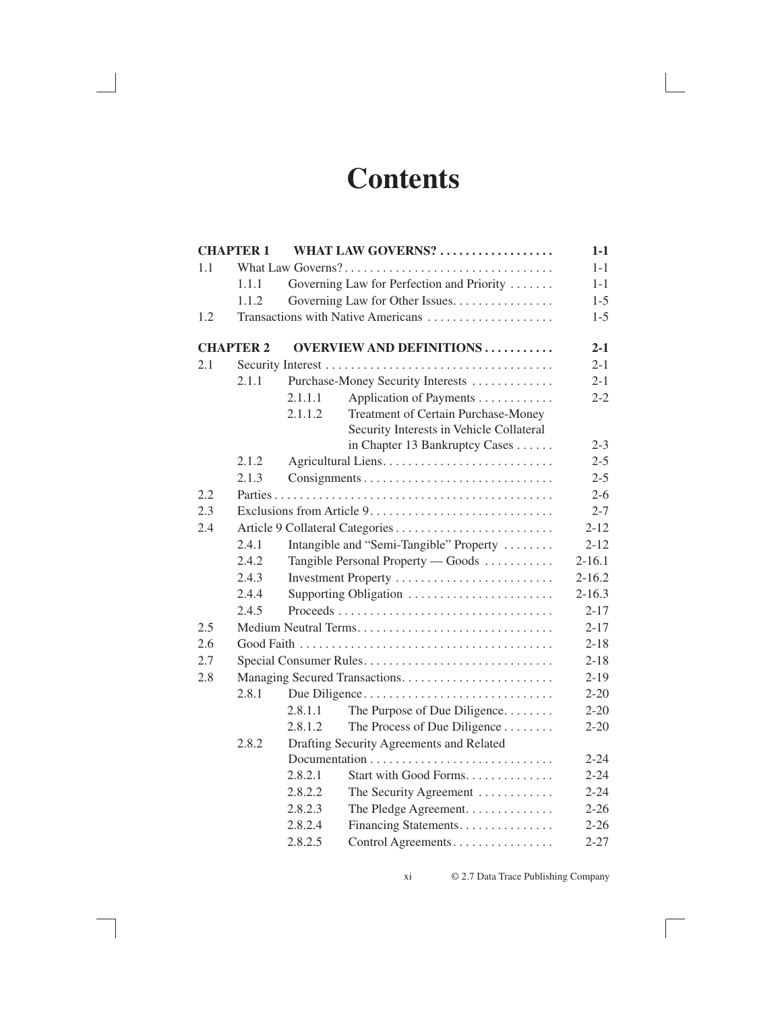# **Contents**

|     | <b>CHAPTER 1</b> |         | WHAT LAW GOVERNS?                          | $1-1$      |
|-----|------------------|---------|--------------------------------------------|------------|
| 1.1 |                  |         |                                            | $1 - 1$    |
|     | 1.1.1            |         | Governing Law for Perfection and Priority  | $1 - 1$    |
|     | 1.1.2            |         | Governing Law for Other Issues.            | $1 - 5$    |
| 1.2 |                  |         | Transactions with Native Americans         | $1 - 5$    |
|     | <b>CHAPTER 2</b> |         | <b>OVERVIEW AND DEFINITIONS </b>           | $2 - 1$    |
| 2.1 |                  |         |                                            | $2 - 1$    |
|     | 2.1.1            |         | Purchase-Money Security Interests          | $2 - 1$    |
|     |                  | 2.1.1.1 | Application of Payments                    | $2 - 2$    |
|     |                  | 2.1.1.2 | <b>Treatment of Certain Purchase-Money</b> |            |
|     |                  |         | Security Interests in Vehicle Collateral   |            |
|     |                  |         | in Chapter 13 Bankruptcy Cases             | $2 - 3$    |
|     | 2.1.2            |         |                                            | $2 - 5$    |
|     | 2.1.3            |         |                                            | $2 - 5$    |
| 2.2 |                  |         |                                            | $2 - 6$    |
| 2.3 |                  |         |                                            | $2 - 7$    |
| 2.4 |                  |         |                                            | $2 - 12$   |
|     | 2.4.1            |         | Intangible and "Semi-Tangible" Property    | $2 - 12$   |
|     | 2.4.2            |         | Tangible Personal Property — Goods         | $2 - 16.1$ |
|     | 2.4.3            |         | Investment Property                        | $2 - 16.2$ |
|     | 2.4.4            |         | Supporting Obligation                      | $2 - 16.3$ |
|     | 2.4.5            |         |                                            | $2 - 17$   |
| 2.5 |                  |         |                                            | $2 - 17$   |
| 2.6 |                  |         |                                            | $2 - 18$   |
| 2.7 |                  |         | Special Consumer Rules                     | $2 - 18$   |
| 2.8 |                  |         | Managing Secured Transactions              | $2 - 19$   |
|     | 2.8.1            |         | Due Diligence                              | $2 - 20$   |
|     |                  | 2.8.1.1 | The Purpose of Due Diligence               | $2 - 20$   |
|     |                  | 2.8.1.2 | The Process of Due Diligence               | $2 - 20$   |
|     | 2.8.2            |         | Drafting Security Agreements and Related   |            |
|     |                  |         |                                            | $2 - 24$   |
|     |                  | 2.8.2.1 | Start with Good Forms.                     | $2 - 24$   |
|     |                  | 2.8.2.2 | The Security Agreement                     | $2 - 24$   |
|     |                  | 2.8.2.3 | The Pledge Agreement.                      | $2 - 26$   |
|     |                  | 2.8.2.4 | Financing Statements.                      | $2 - 26$   |
|     |                  | 2.8.2.5 | Control Agreements                         | $2 - 27$   |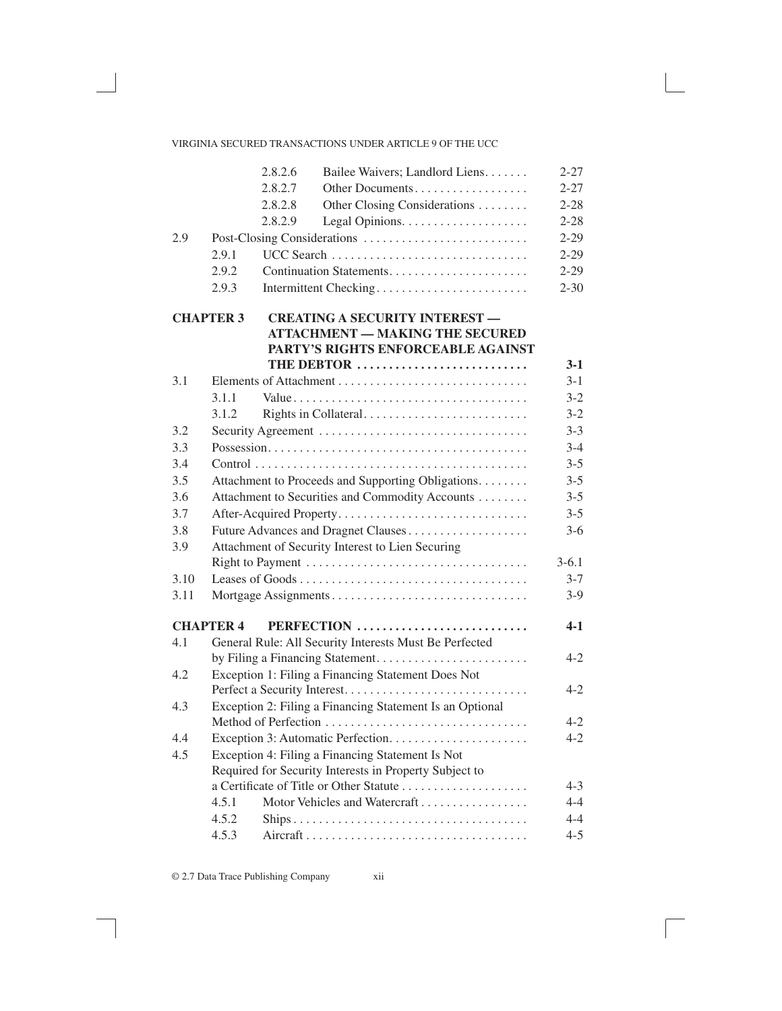|      |                  | 2.8.2.6 | Bailee Waivers; Landlord Liens.                          | $2 - 27$ |
|------|------------------|---------|----------------------------------------------------------|----------|
|      |                  | 2.8.2.7 | Other Documents                                          | $2 - 27$ |
|      |                  | 2.8.2.8 | Other Closing Considerations                             | $2 - 28$ |
|      |                  | 2.8.2.9 |                                                          | $2 - 28$ |
| 2.9  |                  |         |                                                          | $2 - 29$ |
|      | 2.9.1            |         | UCC Search                                               | $2 - 29$ |
|      | 2.9.2            |         |                                                          | $2 - 29$ |
|      | 2.9.3            |         | Intermittent Checking                                    | $2 - 30$ |
|      | <b>CHAPTER 3</b> |         | <b>CREATING A SECURITY INTEREST -</b>                    |          |
|      |                  |         | <b>ATTACHMENT - MAKING THE SECURED</b>                   |          |
|      |                  |         | PARTY'S RIGHTS ENFORCEABLE AGAINST                       |          |
|      |                  |         | THE DEBTOR                                               | $3-1$    |
| 3.1  |                  |         |                                                          | $3 - 1$  |
|      | 3.1.1            |         |                                                          | $3-2$    |
|      | 3.1.2            |         |                                                          | $3-2$    |
| 3.2  |                  |         |                                                          | $3 - 3$  |
| 3.3  |                  |         |                                                          | $3 - 4$  |
| 3.4  |                  |         |                                                          | $3 - 5$  |
| 3.5  |                  |         | Attachment to Proceeds and Supporting Obligations.       | $3 - 5$  |
| 3.6  |                  |         | Attachment to Securities and Commodity Accounts          | $3 - 5$  |
| 3.7  |                  |         | After-Acquired Property                                  | $3 - 5$  |
| 3.8  |                  |         | Future Advances and Dragnet Clauses                      | $3-6$    |
| 3.9  |                  |         | Attachment of Security Interest to Lien Securing         |          |
|      |                  |         |                                                          | $3-6.1$  |
| 3.10 |                  |         |                                                          | $3 - 7$  |
| 3.11 |                  |         | Mortgage Assignments                                     | $3-9$    |
|      | <b>CHAPTER 4</b> |         | PERFECTION                                               | $4 - 1$  |
| 4.1  |                  |         | General Rule: All Security Interests Must Be Perfected   |          |
|      |                  |         |                                                          | $4 - 2$  |
| 4.2  |                  |         | Exception 1: Filing a Financing Statement Does Not       |          |
|      |                  |         |                                                          | $4 - 2$  |
| 4.3  |                  |         | Exception 2: Filing a Financing Statement Is an Optional |          |
|      |                  |         |                                                          | $4 - 2$  |
| 4.4  |                  |         |                                                          | $4 - 2$  |
| 4.5  |                  |         | Exception 4: Filing a Financing Statement Is Not         |          |
|      |                  |         | Required for Security Interests in Property Subject to   |          |
|      |                  |         | a Certificate of Title or Other Statute                  | $4 - 3$  |
|      | 4.5.1            |         | Motor Vehicles and Watercraft                            | $4 - 4$  |
|      | 4.5.2            |         |                                                          | $4 - 4$  |
|      | 4.5.3            |         |                                                          | $4 - 5$  |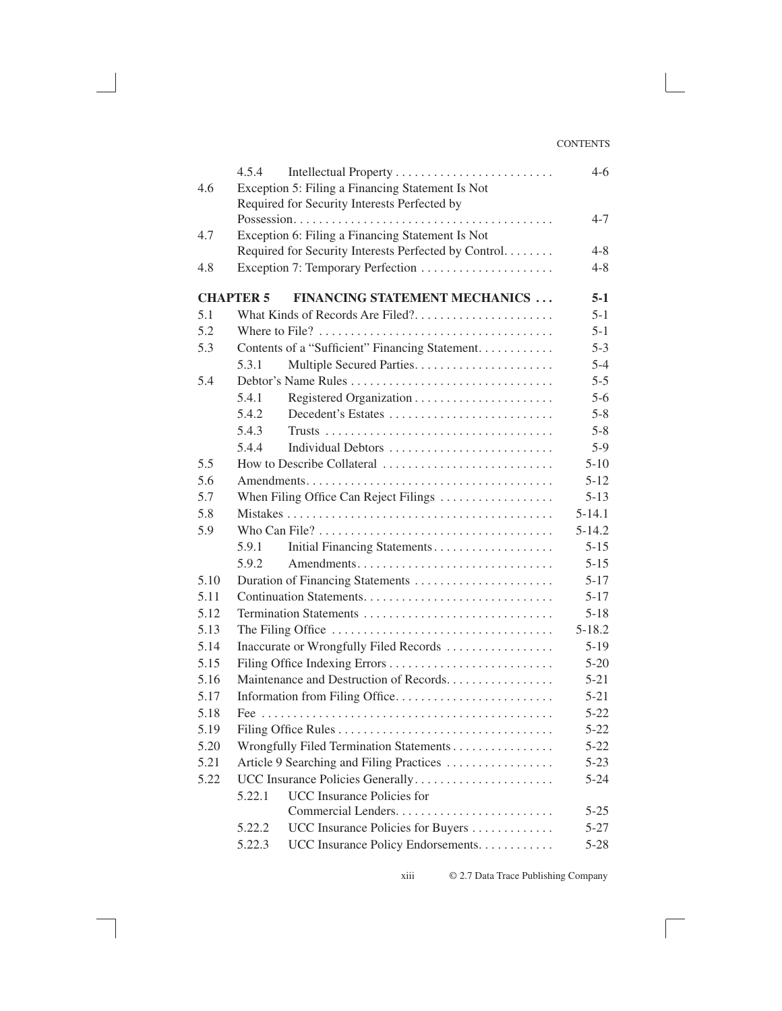| 4.6  | 4.5.4<br>Exception 5: Filing a Financing Statement Is Not | $4-6$      |
|------|-----------------------------------------------------------|------------|
|      | Required for Security Interests Perfected by              |            |
|      |                                                           | $4 - 7$    |
| 4.7  | Exception 6: Filing a Financing Statement Is Not          |            |
|      | Required for Security Interests Perfected by Control      | $4 - 8$    |
| 4.8  |                                                           | $4 - 8$    |
|      | <b>CHAPTER 5</b><br><b>FINANCING STATEMENT MECHANICS</b>  | $5-1$      |
| 5.1  | What Kinds of Records Are Filed?                          | $5 - 1$    |
| 5.2  |                                                           | $5 - 1$    |
| 5.3  | Contents of a "Sufficient" Financing Statement.           | $5 - 3$    |
|      | 5.3.1                                                     | $5 - 4$    |
| 5.4  |                                                           | $5 - 5$    |
|      | 5.4.1                                                     | $5 - 6$    |
|      | 5.4.2<br>Decedent's Estates                               | $5 - 8$    |
|      | 5.4.3                                                     | $5 - 8$    |
|      | 5.4.4<br>Individual Debtors                               | $5-9$      |
| 5.5  | How to Describe Collateral                                | $5 - 10$   |
| 5.6  |                                                           | $5 - 12$   |
| 5.7  | When Filing Office Can Reject Filings                     | $5 - 13$   |
| 5.8  |                                                           | $5 - 14.1$ |
| 5.9  |                                                           | $5 - 14.2$ |
|      | Initial Financing Statements<br>5.9.1                     | $5 - 15$   |
|      | 5.9.2                                                     | $5 - 15$   |
| 5.10 | Duration of Financing Statements                          | $5 - 17$   |
| 5.11 |                                                           | $5 - 17$   |
| 5.12 | Termination Statements                                    | $5 - 18$   |
| 5.13 |                                                           | $5 - 18.2$ |
| 5.14 | Inaccurate or Wrongfully Filed Records                    | $5-19$     |
| 5.15 |                                                           | $5 - 20$   |
| 5.16 | Maintenance and Destruction of Records.                   | $5 - 21$   |
| 5.17 | Information from Filing Office                            | $5 - 21$   |
| 5.18 |                                                           | $5 - 22$   |
| 5.19 |                                                           | $5 - 22$   |
| 5.20 | Wrongfully Filed Termination Statements                   | $5 - 22$   |
| 5.21 | Article 9 Searching and Filing Practices                  | $5 - 23$   |
| 5.22 | UCC Insurance Policies Generally                          | $5 - 24$   |
|      | <b>UCC</b> Insurance Policies for<br>5.22.1               |            |
|      |                                                           | $5 - 25$   |
|      | UCC Insurance Policies for Buyers<br>5.22.2               | 5-27       |
|      | UCC Insurance Policy Endorsements.<br>5.22.3              | $5 - 28$   |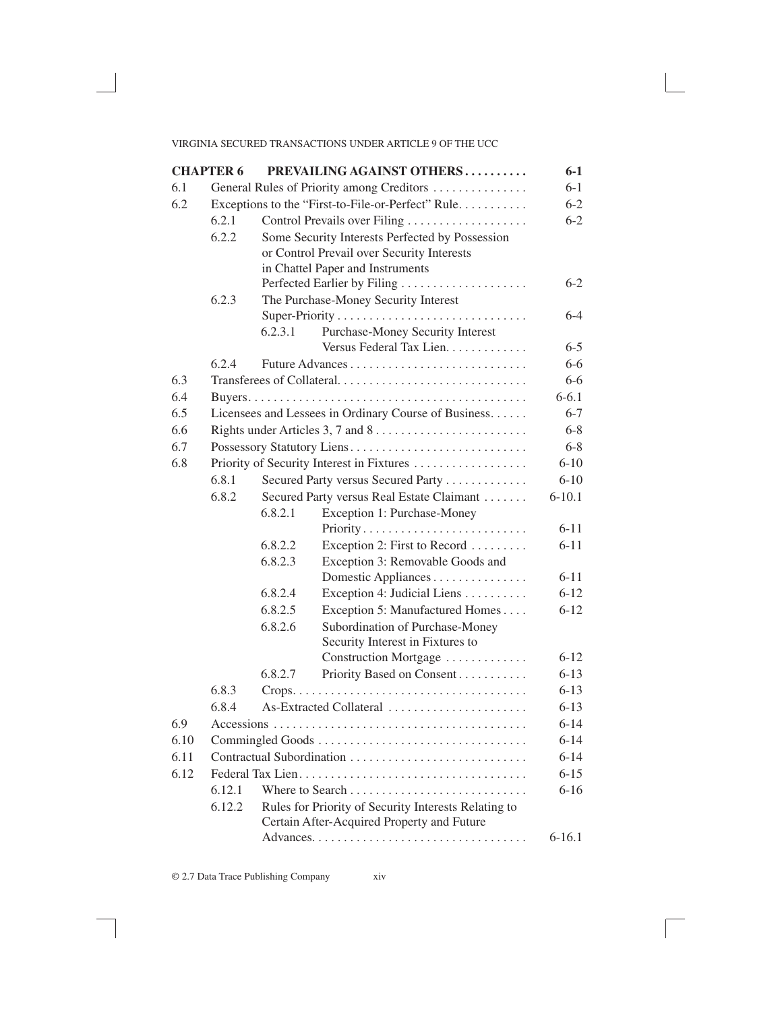|      | <b>CHAPTER 6</b> |         | PREVAILING AGAINST OTHERS                            | $6 - 1$    |
|------|------------------|---------|------------------------------------------------------|------------|
| 6.1  |                  |         | General Rules of Priority among Creditors            | $6 - 1$    |
| 6.2  |                  |         | Exceptions to the "First-to-File-or-Perfect" Rule    | $6 - 2$    |
|      | 6.2.1            |         | Control Prevails over Filing                         | $6 - 2$    |
|      | 6.2.2            |         | Some Security Interests Perfected by Possession      |            |
|      |                  |         | or Control Prevail over Security Interests           |            |
|      |                  |         | in Chattel Paper and Instruments                     |            |
|      |                  |         |                                                      | $6-2$      |
|      | 6.2.3            |         | The Purchase-Money Security Interest                 |            |
|      |                  |         |                                                      | 6-4        |
|      |                  | 6.2.3.1 | Purchase-Money Security Interest                     |            |
|      |                  |         | Versus Federal Tax Lien.                             | $6 - 5$    |
|      | 6.2.4            |         |                                                      | $6-6$      |
| 6.3  |                  |         | Transferees of Collateral                            | $6 - 6$    |
| 6.4  |                  |         |                                                      | $6 - 6.1$  |
| 6.5  |                  |         | Licensees and Lessees in Ordinary Course of Business | $6 - 7$    |
| 6.6  |                  |         |                                                      | $6 - 8$    |
| 6.7  |                  |         | Possessory Statutory Liens                           | $6 - 8$    |
| 6.8  |                  |         |                                                      | $6 - 10$   |
|      | 6.8.1            |         | Secured Party versus Secured Party                   | $6 - 10$   |
|      | 6.8.2            |         | Secured Party versus Real Estate Claimant            | $6 - 10.1$ |
|      |                  | 6.8.2.1 | Exception 1: Purchase-Money                          |            |
|      |                  |         | Priority                                             | $6 - 11$   |
|      |                  | 6.8.2.2 | Exception 2: First to Record                         | $6 - 11$   |
|      |                  | 6.8.2.3 | Exception 3: Removable Goods and                     |            |
|      |                  |         | Domestic Appliances                                  | $6 - 11$   |
|      |                  | 6.8.2.4 | Exception 4: Judicial Liens                          | $6 - 12$   |
|      |                  | 6.8.2.5 | Exception 5: Manufactured Homes                      | $6 - 12$   |
|      |                  | 6.8.2.6 | Subordination of Purchase-Money                      |            |
|      |                  |         | Security Interest in Fixtures to                     |            |
|      |                  |         | Construction Mortgage                                | $6 - 12$   |
|      |                  | 6.8.2.7 | Priority Based on Consent                            | $6 - 13$   |
|      | 6.8.3            |         |                                                      | $6 - 13$   |
|      | 6.8.4            |         | As-Extracted Collateral                              | $6 - 13$   |
| 6.9  |                  |         |                                                      | $6 - 14$   |
| 6.10 |                  |         |                                                      | $6 - 14$   |
| 6.11 |                  |         |                                                      | $6 - 14$   |
| 6.12 |                  |         |                                                      | $6 - 15$   |
|      | 6.12.1           |         |                                                      | $6 - 16$   |
|      | 6.12.2           |         | Rules for Priority of Security Interests Relating to |            |
|      |                  |         | Certain After-Acquired Property and Future           |            |
|      |                  |         |                                                      | $6-16.1$   |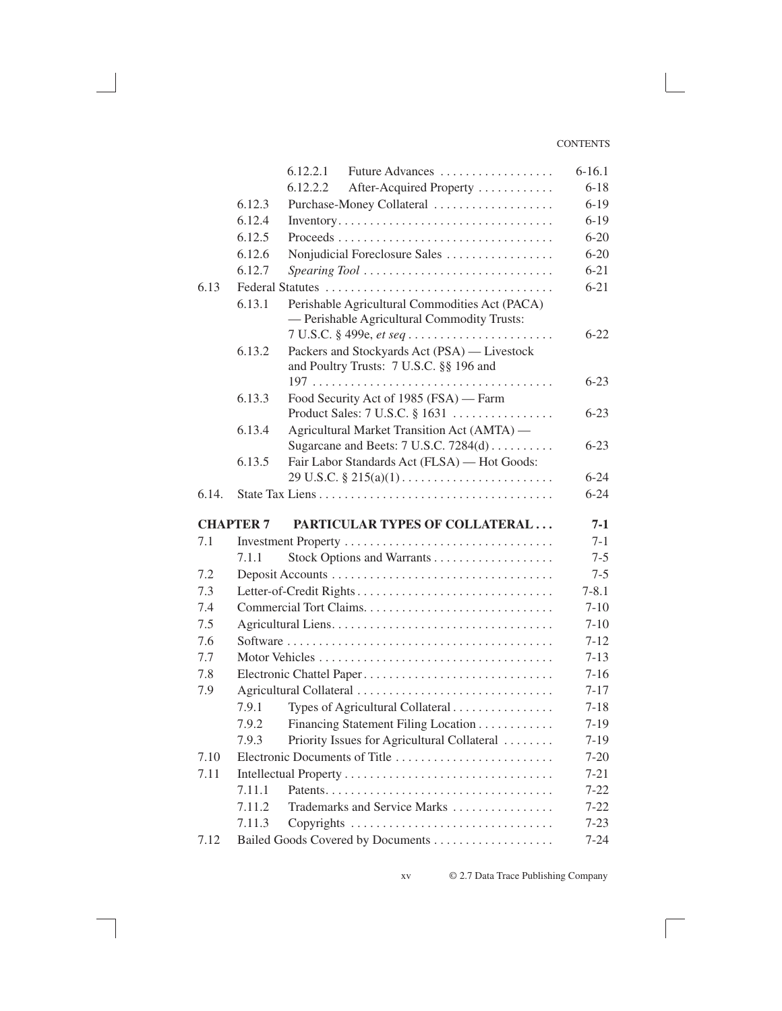#### **CONTENTS**

|       |                  | Future Advances<br>6.12.2.1                                                      | $6-16.1$  |
|-------|------------------|----------------------------------------------------------------------------------|-----------|
|       |                  | 6.12.2.2<br>After-Acquired Property                                              | $6 - 18$  |
|       | 6.12.3           | Purchase-Money Collateral                                                        | $6 - 19$  |
|       | 6.12.4           | Inventory                                                                        | $6-19$    |
|       | 6.12.5           |                                                                                  | $6 - 20$  |
|       | 6.12.6           | Nonjudicial Foreclosure Sales                                                    | $6 - 20$  |
|       | 6.12.7           |                                                                                  | $6 - 21$  |
| 6.13  |                  |                                                                                  | $6 - 21$  |
|       | 6.13.1           | Perishable Agricultural Commodities Act (PACA)                                   |           |
|       |                  | - Perishable Agricultural Commodity Trusts:                                      |           |
|       |                  | 7 U.S.C. § 499e, et seq                                                          | $6 - 22$  |
|       | 6.13.2           | Packers and Stockyards Act (PSA) — Livestock                                     |           |
|       |                  | and Poultry Trusts: 7 U.S.C. §§ 196 and                                          |           |
|       |                  |                                                                                  | $6 - 23$  |
|       | 6.13.3           | Food Security Act of 1985 (FSA) — Farm                                           |           |
|       |                  | Product Sales: $7$ U.S.C. $\S$ 1631                                              | $6 - 23$  |
|       | 6.13.4           | Agricultural Market Transition Act (AMTA) -                                      |           |
|       |                  | Sugarcane and Beets: 7 U.S.C. 7284(d)                                            | $6 - 23$  |
|       | 6.13.5           | Fair Labor Standards Act (FLSA) - Hot Goods:                                     |           |
|       |                  | $29 \text{ U.S.C.} \S 215(a)(1) \dots \dots \dots \dots \dots \dots \dots \dots$ | $6 - 24$  |
| 6.14. |                  |                                                                                  | $6 - 24$  |
|       | <b>CHAPTER 7</b> | PARTICULAR TYPES OF COLLATERAL                                                   | 7-1       |
| 7.1   |                  |                                                                                  | $7-1$     |
|       | 7.1.1            |                                                                                  | $7 - 5$   |
| 7.2   |                  |                                                                                  | $7 - 5$   |
| 7.3   |                  |                                                                                  | $7 - 8.1$ |
| 7.4   |                  |                                                                                  | $7 - 10$  |
| 7.5   |                  |                                                                                  | $7 - 10$  |
| 7.6   |                  |                                                                                  | $7 - 12$  |
| 7.7   |                  |                                                                                  | $7 - 13$  |
| 7.8   |                  | Electronic Chattel Paper                                                         | $7 - 16$  |
| 7.9   |                  |                                                                                  | $7 - 17$  |
|       | 7.9.1            | Types of Agricultural Collateral                                                 | $7 - 18$  |
|       | 7.9.2            | Financing Statement Filing Location                                              | $7-19$    |
|       | 7.9.3            | Priority Issues for Agricultural Collateral                                      | $7-19$    |
| 7.10  |                  | Electronic Documents of Title                                                    | $7 - 20$  |
| 7.11  |                  |                                                                                  | $7 - 21$  |
|       | 7.11.1           |                                                                                  | $7 - 22$  |
|       | 7.11.2           | Trademarks and Service Marks                                                     | $7 - 22$  |
|       | 7.11.3           | Copyrights                                                                       | $7 - 23$  |
| 7.12  |                  |                                                                                  | $7 - 24$  |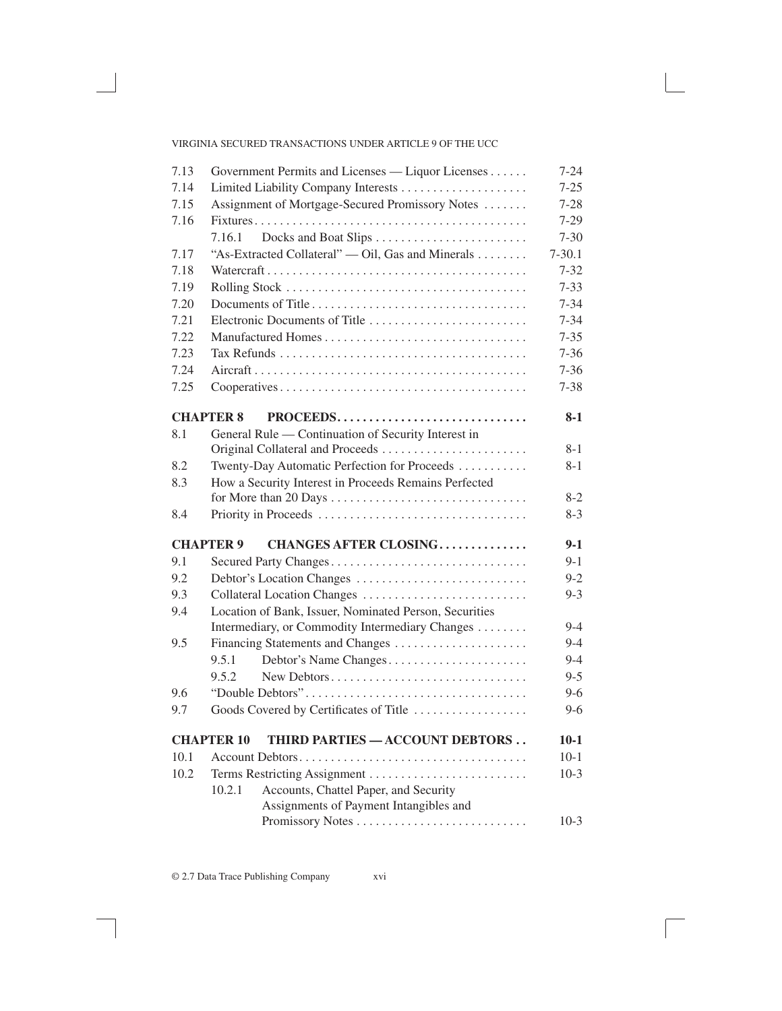## VIRGINIA SECURED TRANSACTIONS UNDER ARTICLE 9 OF THE UCC

| 7.13 | Government Permits and Licenses — Liquor Licenses      | $7 - 24$   |
|------|--------------------------------------------------------|------------|
| 7.14 |                                                        | $7 - 25$   |
| 7.15 | Assignment of Mortgage-Secured Promissory Notes        | $7 - 28$   |
| 7.16 |                                                        | $7 - 29$   |
|      | 7.16.1                                                 | $7 - 30$   |
| 7.17 | "As-Extracted Collateral" — Oil, Gas and Minerals      | $7 - 30.1$ |
| 7.18 |                                                        | $7 - 32$   |
| 7.19 |                                                        | $7 - 33$   |
| 7.20 |                                                        | $7 - 34$   |
| 7.21 |                                                        | $7 - 34$   |
| 7.22 |                                                        | $7 - 35$   |
| 7.23 |                                                        | $7 - 36$   |
| 7.24 |                                                        | $7 - 36$   |
| 7.25 |                                                        | $7 - 38$   |
|      | <b>CHAPTER 8</b><br>PROCEEDS                           | $8-1$      |
| 8.1  | General Rule — Continuation of Security Interest in    |            |
|      |                                                        | $8 - 1$    |
| 8.2  | Twenty-Day Automatic Perfection for Proceeds           | $8 - 1$    |
| 8.3  | How a Security Interest in Proceeds Remains Perfected  |            |
|      |                                                        | $8-2$      |
| 8.4  |                                                        | $8-3$      |
|      | <b>CHAPTER 9</b><br><b>CHANGES AFTER CLOSING</b>       | $9-1$      |
| 9.1  | Secured Party Changes                                  | $9 - 1$    |
| 9.2  | Debtor's Location Changes                              | $9 - 2$    |
| 9.3  |                                                        | $9 - 3$    |
| 9.4  | Location of Bank, Issuer, Nominated Person, Securities |            |
|      | Intermediary, or Commodity Intermediary Changes        | $9 - 4$    |
| 9.5  | Financing Statements and Changes                       | $9 - 4$    |
|      | Debtor's Name Changes<br>9.5.1                         | $9 - 4$    |
|      | New Debtors<br>9.5.2                                   | $9 - 5$    |
| 9.6  |                                                        | $9 - 6$    |
| 9.7  | Goods Covered by Certificates of Title                 | $9-6$      |
|      | THIRD PARTIES - ACCOUNT DEBTORS<br><b>CHAPTER 10</b>   | $10-1$     |
| 10.1 |                                                        | $10-1$     |
| 10.2 |                                                        | $10-3$     |
|      | 10.2.1<br>Accounts, Chattel Paper, and Security        |            |
|      | Assignments of Payment Intangibles and                 |            |
|      | Promissory Notes                                       | $10-3$     |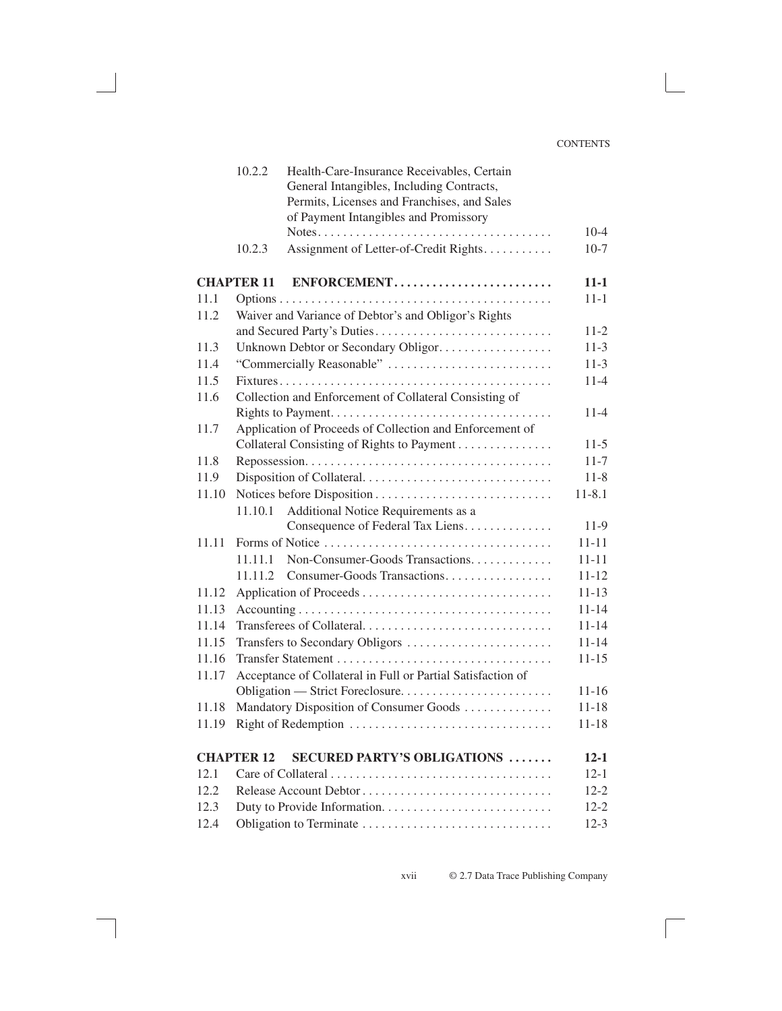|       | 10.2.2            | Health-Care-Insurance Receivables, Certain                                                       |            |
|-------|-------------------|--------------------------------------------------------------------------------------------------|------------|
|       |                   | General Intangibles, Including Contracts,                                                        |            |
|       |                   | Permits, Licenses and Franchises, and Sales                                                      |            |
|       |                   | of Payment Intangibles and Promissory                                                            |            |
|       |                   | $Notes. \ldots \ldots \ldots \ldots \ldots \ldots \ldots \ldots \ldots \ldots \ldots$            | $10 - 4$   |
|       | 10.2.3            | Assignment of Letter-of-Credit Rights                                                            | $10-7$     |
|       | <b>CHAPTER 11</b> | ENFORCEMENT                                                                                      | $11 - 1$   |
| 11.1  |                   |                                                                                                  | $11 - 1$   |
| 11.2  |                   | Waiver and Variance of Debtor's and Obligor's Rights                                             |            |
|       |                   |                                                                                                  | $11-2$     |
| 11.3  |                   | Unknown Debtor or Secondary Obligor.                                                             | $11 - 3$   |
| 11.4  |                   | "Commercially Reasonable"                                                                        | $11-3$     |
| 11.5  |                   |                                                                                                  | $11-4$     |
| 11.6  |                   | Collection and Enforcement of Collateral Consisting of                                           |            |
|       |                   |                                                                                                  | $11 - 4$   |
| 11.7  |                   | Application of Proceeds of Collection and Enforcement of                                         |            |
|       |                   | Collateral Consisting of Rights to Payment                                                       | $11-5$     |
| 11.8  |                   |                                                                                                  | $11 - 7$   |
| 11.9  |                   |                                                                                                  | $11 - 8$   |
| 11.10 |                   |                                                                                                  | $11 - 8.1$ |
|       | 11.10.1           | Additional Notice Requirements as a                                                              |            |
|       |                   | Consequence of Federal Tax Liens                                                                 | 11-9       |
| 11.11 |                   |                                                                                                  | $11 - 11$  |
|       | 11.11.1           | Non-Consumer-Goods Transactions.                                                                 | $11 - 11$  |
|       | 11.11.2           | Consumer-Goods Transactions                                                                      | $11 - 12$  |
| 11.12 |                   |                                                                                                  | $11 - 13$  |
| 11.13 |                   | $Accounting \ldots \ldots \ldots \ldots \ldots \ldots \ldots \ldots \ldots \ldots \ldots \ldots$ | $11 - 14$  |
| 11.14 |                   | Transferees of Collateral                                                                        | $11 - 14$  |
| 11.15 |                   | Transfers to Secondary Obligors                                                                  | $11 - 14$  |
| 11.16 |                   |                                                                                                  | $11 - 15$  |
| 11.17 |                   | Acceptance of Collateral in Full or Partial Satisfaction of                                      |            |
|       |                   |                                                                                                  | $11 - 16$  |
| 11.18 |                   | Mandatory Disposition of Consumer Goods                                                          | $11 - 18$  |
| 11.19 |                   | Right of Redemption                                                                              | $11 - 18$  |
|       | <b>CHAPTER 12</b> | <b>SECURED PARTY'S OBLIGATIONS </b>                                                              | $12 - 1$   |
| 12.1  |                   |                                                                                                  | $12 - 1$   |
| 12.2  |                   |                                                                                                  | $12 - 2$   |
| 12.3  |                   |                                                                                                  | $12 - 2$   |
| 12.4  |                   |                                                                                                  | $12-3$     |
|       |                   |                                                                                                  |            |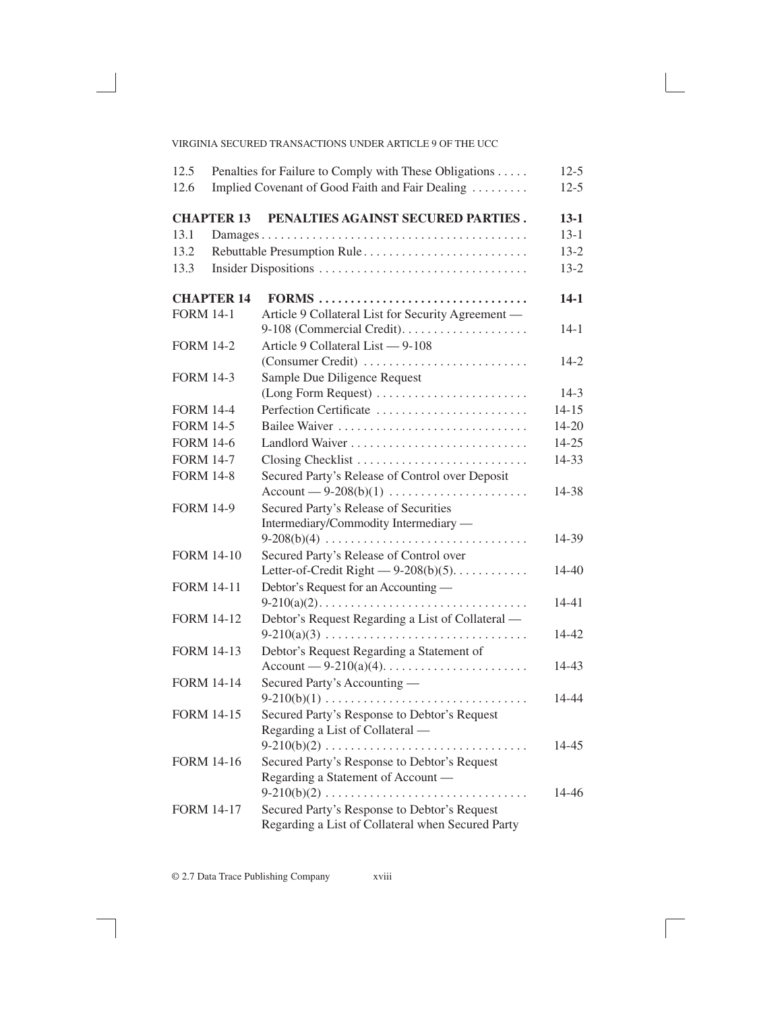| 12.5              |                   | Penalties for Failure to Comply with These Obligations      | $12 - 5$  |
|-------------------|-------------------|-------------------------------------------------------------|-----------|
| 12.6              |                   | Implied Covenant of Good Faith and Fair Dealing             | $12-5$    |
|                   | <b>CHAPTER 13</b> | PENALTIES AGAINST SECURED PARTIES.                          | $13 - 1$  |
| 13.1              |                   |                                                             | $13 - 1$  |
| 13.2              |                   | Rebuttable Presumption Rule                                 | $13 - 2$  |
| 13.3              |                   |                                                             | $13 - 2$  |
|                   | <b>CHAPTER 14</b> | FORMS                                                       | $14-1$    |
| <b>FORM 14-1</b>  |                   | Article 9 Collateral List for Security Agreement -          |           |
|                   |                   |                                                             | $14-1$    |
| <b>FORM 14-2</b>  |                   | Article 9 Collateral List - 9-108                           |           |
|                   |                   | (Consumer Credit)                                           | $14-2$    |
| <b>FORM 14-3</b>  |                   | Sample Due Diligence Request                                |           |
|                   |                   | (Long Form Request)                                         | $14-3$    |
| <b>FORM 14-4</b>  |                   | Perfection Certificate                                      | $14 - 15$ |
| <b>FORM 14-5</b>  |                   |                                                             | 14-20     |
| <b>FORM 14-6</b>  |                   |                                                             | $14 - 25$ |
| <b>FORM 14-7</b>  |                   | Closing Checklist                                           | 14-33     |
| <b>FORM 14-8</b>  |                   | Secured Party's Release of Control over Deposit             |           |
|                   |                   | $Account - 9-208(b)(1) \dots \dots \dots \dots \dots \dots$ | 14-38     |
| <b>FORM 14-9</b>  |                   | Secured Party's Release of Securities                       |           |
|                   |                   | Intermediary/Commodity Intermediary —                       |           |
|                   |                   | $9-208(b)(4)$                                               | 14-39     |
| <b>FORM 14-10</b> |                   | Secured Party's Release of Control over                     |           |
|                   |                   | Letter-of-Credit Right $-9-208(b)(5)$                       | 14-40     |
| <b>FORM 14-11</b> |                   | Debtor's Request for an Accounting —                        |           |
|                   |                   |                                                             | 14-41     |
| <b>FORM 14-12</b> |                   | Debtor's Request Regarding a List of Collateral —           |           |
|                   |                   | $9-210(a)(3)$                                               | 14-42     |
| <b>FORM 14-13</b> |                   | Debtor's Request Regarding a Statement of                   |           |
|                   |                   |                                                             | 14-43     |
| <b>FORM 14-14</b> |                   | Secured Party's Accounting —                                |           |
|                   |                   | $9-210(b)(1)$                                               | 14-44     |
| <b>FORM 14-15</b> |                   | Secured Party's Response to Debtor's Request                |           |
|                   |                   | Regarding a List of Collateral —                            |           |
|                   |                   | $9-210(b)(2)$                                               | 14-45     |
| <b>FORM 14-16</b> |                   | Secured Party's Response to Debtor's Request                |           |
|                   |                   | Regarding a Statement of Account -                          |           |
|                   |                   | $9-210(b)(2)$<br>.                                          | 14-46     |
| <b>FORM 14-17</b> |                   | Secured Party's Response to Debtor's Request                |           |
|                   |                   | Regarding a List of Collateral when Secured Party           |           |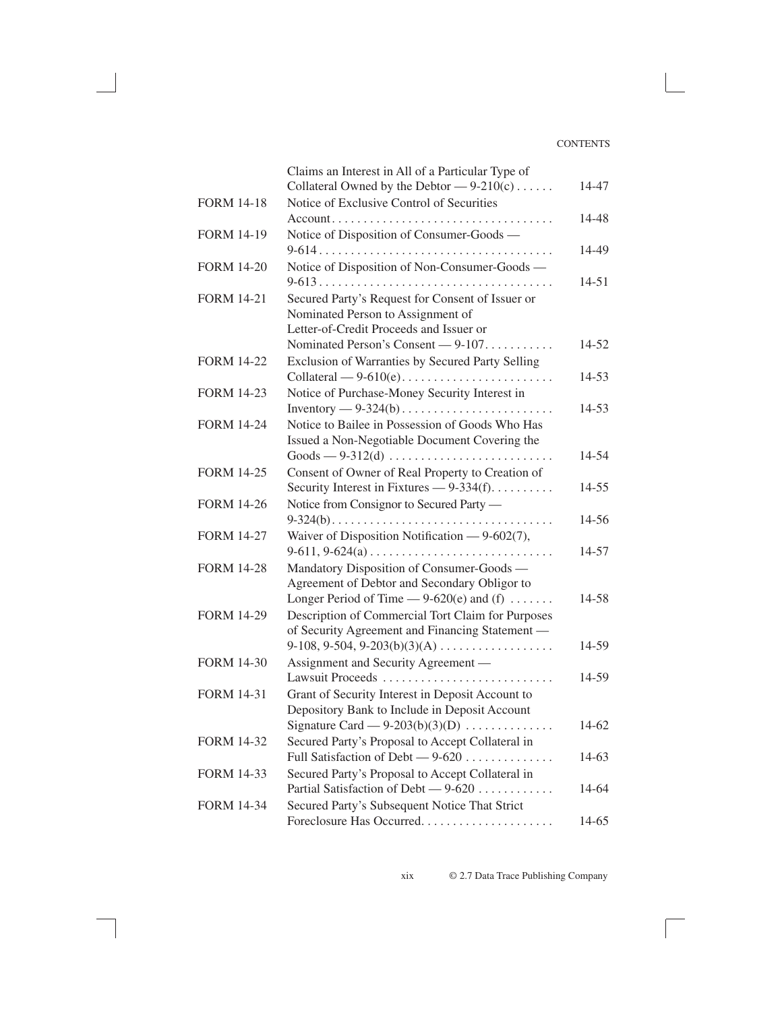|                   | Claims an Interest in All of a Particular Type of<br>Collateral Owned by the Debtor $-9-210(c)$ | 14-47     |
|-------------------|-------------------------------------------------------------------------------------------------|-----------|
| <b>FORM 14-18</b> | Notice of Exclusive Control of Securities                                                       |           |
|                   |                                                                                                 | 14-48     |
| <b>FORM 14-19</b> | Notice of Disposition of Consumer-Goods -                                                       |           |
|                   |                                                                                                 | 14-49     |
| <b>FORM 14-20</b> | Notice of Disposition of Non-Consumer-Goods -                                                   |           |
|                   |                                                                                                 | 14-51     |
| <b>FORM 14-21</b> | Secured Party's Request for Consent of Issuer or                                                |           |
|                   | Nominated Person to Assignment of                                                               |           |
|                   | Letter-of-Credit Proceeds and Issuer or                                                         |           |
|                   | Nominated Person's Consent - 9-107.                                                             | $14 - 52$ |
| <b>FORM 14-22</b> | Exclusion of Warranties by Secured Party Selling                                                |           |
|                   |                                                                                                 | $14 - 53$ |
| <b>FORM 14-23</b> | Notice of Purchase-Money Security Interest in                                                   |           |
|                   |                                                                                                 | 14-53     |
| <b>FORM 14-24</b> | Notice to Bailee in Possession of Goods Who Has                                                 |           |
|                   | Issued a Non-Negotiable Document Covering the                                                   |           |
|                   | $\text{Goods} \longrightarrow 9-312(d) \dots \dots \dots \dots \dots \dots \dots \dots$         | 14-54     |
| <b>FORM 14-25</b> | Consent of Owner of Real Property to Creation of                                                |           |
|                   | Security Interest in Fixtures — 9-334(f).                                                       | $14 - 55$ |
| <b>FORM 14-26</b> | Notice from Consignor to Secured Party —                                                        |           |
|                   |                                                                                                 | 14-56     |
| <b>FORM 14-27</b> | Waiver of Disposition Notification — 9-602(7),                                                  |           |
|                   |                                                                                                 | 14-57     |
| <b>FORM 14-28</b> | Mandatory Disposition of Consumer-Goods -                                                       |           |
|                   | Agreement of Debtor and Secondary Obligor to                                                    |           |
|                   | Longer Period of Time $-9-620(e)$ and (f)                                                       | 14-58     |
| <b>FORM 14-29</b> | Description of Commercial Tort Claim for Purposes                                               |           |
|                   | of Security Agreement and Financing Statement -                                                 |           |
|                   | $9-108, 9-504, 9-203(b)(3)(A) \ldots$                                                           | 14-59     |
| <b>FORM 14-30</b> | Assignment and Security Agreement -                                                             |           |
|                   | Lawsuit Proceeds                                                                                | 14-59     |
| <b>FORM 14-31</b> | Grant of Security Interest in Deposit Account to                                                |           |
|                   | Depository Bank to Include in Deposit Account                                                   |           |
|                   | Signature Card $-9-203(b)(3)(D)$                                                                | 14-62     |
| <b>FORM 14-32</b> | Secured Party's Proposal to Accept Collateral in                                                |           |
|                   | Full Satisfaction of Debt - 9-620                                                               | 14-63     |
| <b>FORM 14-33</b> | Secured Party's Proposal to Accept Collateral in                                                |           |
|                   | Partial Satisfaction of Debt — 9-620                                                            | 14-64     |
| <b>FORM 14-34</b> | Secured Party's Subsequent Notice That Strict                                                   |           |
|                   | Foreclosure Has Occurred                                                                        | 14-65     |
|                   |                                                                                                 |           |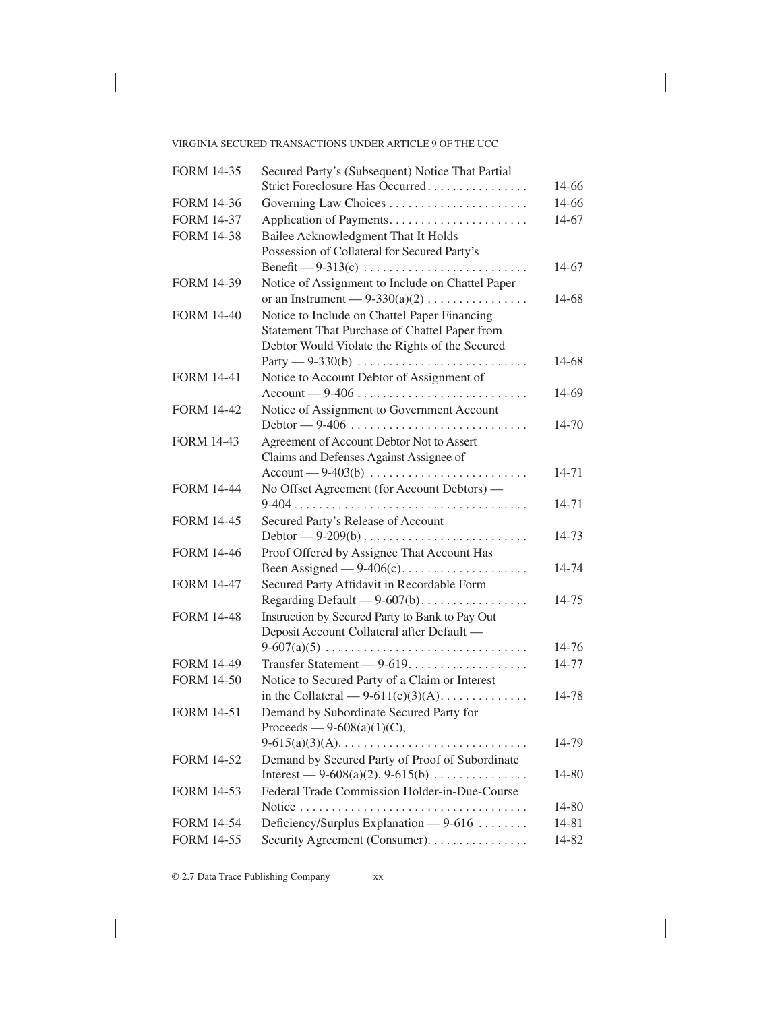# VIRGINIA SECURED TRANSACTIONS UNDER ARTICLE 9 OF THE UCC

| Strict Foreclosure Has Occurred<br>14-66<br>14-66<br><b>FORM 14-36</b><br><b>FORM 14-37</b><br>Application of Payments<br>14-67<br>Bailee Acknowledgment That It Holds<br><b>FORM 14-38</b><br>Possession of Collateral for Secured Party's<br>14-67<br>Notice of Assignment to Include on Chattel Paper<br><b>FORM 14-39</b><br>or an Instrument — $9-330(a)(2)$<br>14-68 |
|----------------------------------------------------------------------------------------------------------------------------------------------------------------------------------------------------------------------------------------------------------------------------------------------------------------------------------------------------------------------------|
|                                                                                                                                                                                                                                                                                                                                                                            |
|                                                                                                                                                                                                                                                                                                                                                                            |
|                                                                                                                                                                                                                                                                                                                                                                            |
|                                                                                                                                                                                                                                                                                                                                                                            |
|                                                                                                                                                                                                                                                                                                                                                                            |
|                                                                                                                                                                                                                                                                                                                                                                            |
|                                                                                                                                                                                                                                                                                                                                                                            |
|                                                                                                                                                                                                                                                                                                                                                                            |
| Notice to Include on Chattel Paper Financing<br><b>FORM 14-40</b>                                                                                                                                                                                                                                                                                                          |
| Statement That Purchase of Chattel Paper from                                                                                                                                                                                                                                                                                                                              |
| Debtor Would Violate the Rights of the Secured                                                                                                                                                                                                                                                                                                                             |
| 14-68                                                                                                                                                                                                                                                                                                                                                                      |
| Notice to Account Debtor of Assignment of<br><b>FORM 14-41</b>                                                                                                                                                                                                                                                                                                             |
| $Account - 9-406 \ldots \ldots \ldots \ldots \ldots \ldots \ldots$<br>14-69                                                                                                                                                                                                                                                                                                |
| Notice of Assignment to Government Account<br><b>FORM 14-42</b>                                                                                                                                                                                                                                                                                                            |
| 14-70                                                                                                                                                                                                                                                                                                                                                                      |
| Agreement of Account Debtor Not to Assert<br><b>FORM 14-43</b>                                                                                                                                                                                                                                                                                                             |
| Claims and Defenses Against Assignee of                                                                                                                                                                                                                                                                                                                                    |
| $Account - 9-403(b) \dots \dots \dots \dots \dots \dots \dots \dots$<br>14-71                                                                                                                                                                                                                                                                                              |
| No Offset Agreement (for Account Debtors) -<br><b>FORM 14-44</b>                                                                                                                                                                                                                                                                                                           |
| 14-71                                                                                                                                                                                                                                                                                                                                                                      |
| <b>FORM 14-45</b><br>Secured Party's Release of Account                                                                                                                                                                                                                                                                                                                    |
| 14-73                                                                                                                                                                                                                                                                                                                                                                      |
| Proof Offered by Assignee That Account Has<br><b>FORM 14-46</b>                                                                                                                                                                                                                                                                                                            |
| Been Assigned $-9-406(c)$<br>14-74                                                                                                                                                                                                                                                                                                                                         |
| Secured Party Affidavit in Recordable Form<br><b>FORM 14-47</b><br>Regarding Default - 9-607(b)<br>14-75                                                                                                                                                                                                                                                                   |
| Instruction by Secured Party to Bank to Pay Out<br><b>FORM 14-48</b>                                                                                                                                                                                                                                                                                                       |
| Deposit Account Collateral after Default -                                                                                                                                                                                                                                                                                                                                 |
| 14-76                                                                                                                                                                                                                                                                                                                                                                      |
| Transfer Statement — 9-619.<br>14-77<br><b>FORM 14-49</b>                                                                                                                                                                                                                                                                                                                  |
| Notice to Secured Party of a Claim or Interest<br><b>FORM 14-50</b>                                                                                                                                                                                                                                                                                                        |
| in the Collateral — $9-611(c)(3)(A)$<br>14-78                                                                                                                                                                                                                                                                                                                              |
| Demand by Subordinate Secured Party for<br><b>FORM 14-51</b>                                                                                                                                                                                                                                                                                                               |
| Proceeds — $9-608(a)(1)(C)$ ,                                                                                                                                                                                                                                                                                                                                              |
| 14-79<br>$9-615(a)(3)(A)$                                                                                                                                                                                                                                                                                                                                                  |
| Demand by Secured Party of Proof of Subordinate<br><b>FORM 14-52</b>                                                                                                                                                                                                                                                                                                       |
| Interest — 9-608(a)(2), 9-615(b)<br>14-80                                                                                                                                                                                                                                                                                                                                  |
| Federal Trade Commission Holder-in-Due-Course<br><b>FORM 14-53</b>                                                                                                                                                                                                                                                                                                         |
| 14-80                                                                                                                                                                                                                                                                                                                                                                      |
| <b>FORM 14-54</b><br>Deficiency/Surplus Explanation $-9-616$<br>14-81                                                                                                                                                                                                                                                                                                      |
| <b>FORM 14-55</b><br>Security Agreement (Consumer).<br>14-82                                                                                                                                                                                                                                                                                                               |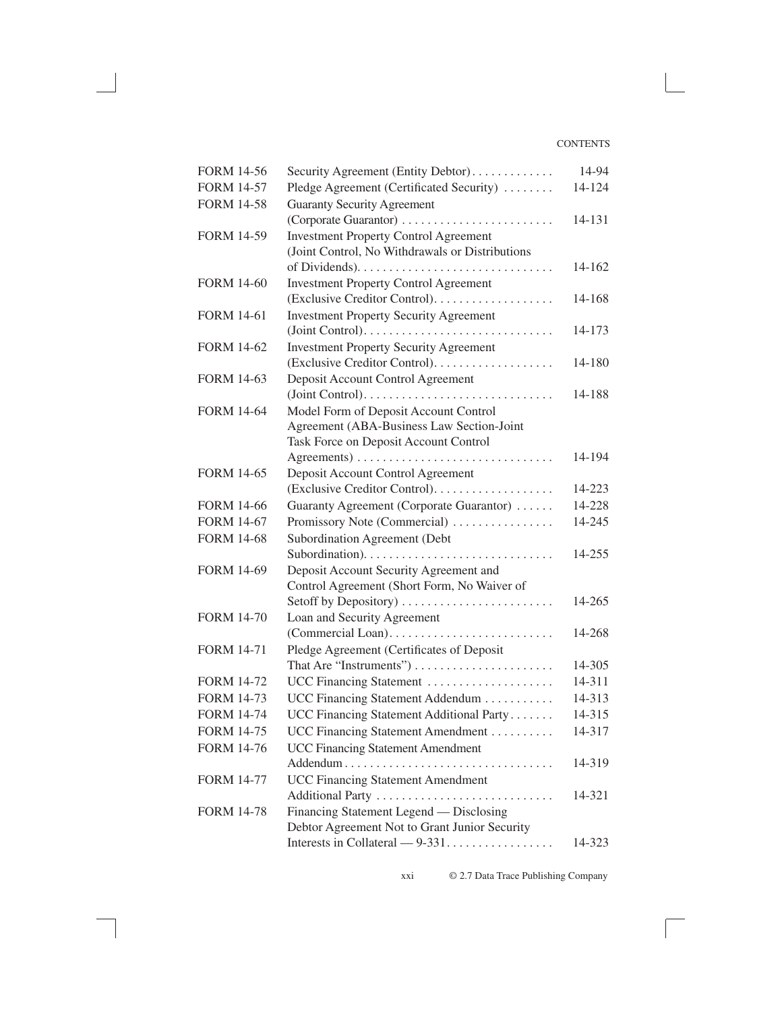| <b>FORM 14-56</b> | Security Agreement (Entity Debtor)              | 14-94  |
|-------------------|-------------------------------------------------|--------|
| <b>FORM 14-57</b> | Pledge Agreement (Certificated Security)        | 14-124 |
| <b>FORM 14-58</b> | <b>Guaranty Security Agreement</b>              |        |
|                   | (Corporate Guarantor)                           | 14-131 |
| <b>FORM 14-59</b> | <b>Investment Property Control Agreement</b>    |        |
|                   | (Joint Control, No Withdrawals or Distributions |        |
|                   |                                                 | 14-162 |
| <b>FORM 14-60</b> | <b>Investment Property Control Agreement</b>    |        |
|                   | (Exclusive Creditor Control).                   | 14-168 |
| <b>FORM 14-61</b> | <b>Investment Property Security Agreement</b>   |        |
|                   |                                                 | 14-173 |
| <b>FORM 14-62</b> | <b>Investment Property Security Agreement</b>   |        |
|                   |                                                 | 14-180 |
| <b>FORM 14-63</b> | Deposit Account Control Agreement               |        |
|                   |                                                 | 14-188 |
| <b>FORM 14-64</b> | Model Form of Deposit Account Control           |        |
|                   | Agreement (ABA-Business Law Section-Joint       |        |
|                   | Task Force on Deposit Account Control           |        |
| <b>FORM 14-65</b> |                                                 | 14-194 |
|                   | Deposit Account Control Agreement               | 14-223 |
| <b>FORM 14-66</b> | Guaranty Agreement (Corporate Guarantor)        | 14-228 |
| <b>FORM 14-67</b> | Promissory Note (Commercial)                    | 14-245 |
| <b>FORM 14-68</b> | Subordination Agreement (Debt                   |        |
|                   |                                                 | 14-255 |
| <b>FORM 14-69</b> | Deposit Account Security Agreement and          |        |
|                   | Control Agreement (Short Form, No Waiver of     |        |
|                   | Setoff by Depository)                           | 14-265 |
| <b>FORM 14-70</b> | Loan and Security Agreement                     |        |
|                   |                                                 | 14-268 |
| <b>FORM 14-71</b> | Pledge Agreement (Certificates of Deposit       |        |
|                   | That Are "Instruments")                         | 14-305 |
| <b>FORM 14-72</b> | UCC Financing Statement                         | 14-311 |
| <b>FORM 14-73</b> | UCC Financing Statement Addendum                | 14-313 |
| <b>FORM 14-74</b> | UCC Financing Statement Additional Party        | 14-315 |
| <b>FORM 14-75</b> | UCC Financing Statement Amendment               | 14-317 |
| <b>FORM 14-76</b> | <b>UCC Financing Statement Amendment</b>        |        |
|                   | Addendum<br>.                                   | 14-319 |
| <b>FORM 14-77</b> | <b>UCC Financing Statement Amendment</b>        |        |
|                   | Additional Party                                | 14-321 |
| <b>FORM 14-78</b> | Financing Statement Legend — Disclosing         |        |
|                   | Debtor Agreement Not to Grant Junior Security   |        |
|                   |                                                 | 14-323 |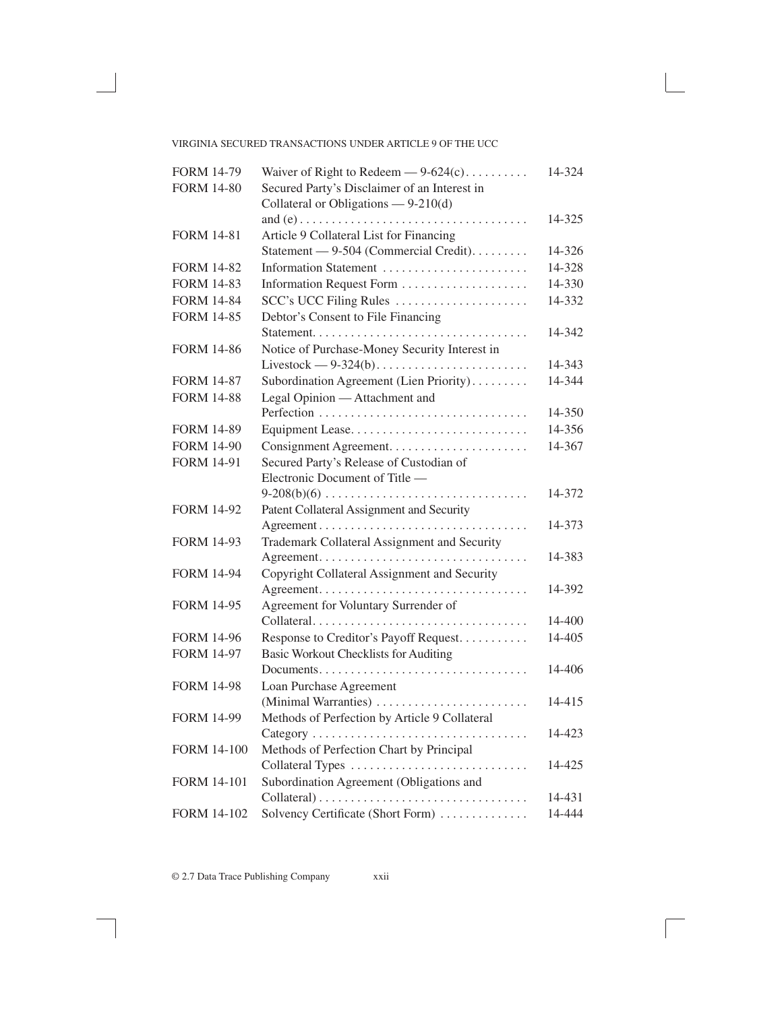## VIRGINIA SECURED TRANSACTIONS UNDER ARTICLE 9 OF THE UCC

| <b>FORM 14-79</b>  | Waiver of Right to Redeem $-9-624(c)$         | 14-324     |
|--------------------|-----------------------------------------------|------------|
| <b>FORM 14-80</b>  | Secured Party's Disclaimer of an Interest in  |            |
|                    | Collateral or Obligations $-9-210(d)$         |            |
|                    |                                               | 14-325     |
| <b>FORM 14-81</b>  | Article 9 Collateral List for Financing       |            |
|                    | Statement - 9-504 (Commercial Credit).        | 14-326     |
| <b>FORM 14-82</b>  | Information Statement                         | 14-328     |
| <b>FORM 14-83</b>  | Information Request Form                      | 14-330     |
| <b>FORM 14-84</b>  | SCC's UCC Filing Rules                        | 14-332     |
| <b>FORM 14-85</b>  | Debtor's Consent to File Financing            |            |
|                    |                                               | 14-342     |
| <b>FORM 14-86</b>  | Notice of Purchase-Money Security Interest in |            |
|                    |                                               | 14-343     |
| <b>FORM 14-87</b>  | Subordination Agreement (Lien Priority)       | 14-344     |
| <b>FORM 14-88</b>  | Legal Opinion - Attachment and                |            |
|                    | Perfection                                    | 14-350     |
| <b>FORM 14-89</b>  | Equipment Lease                               | 14-356     |
| <b>FORM 14-90</b>  |                                               | 14-367     |
| <b>FORM 14-91</b>  | Secured Party's Release of Custodian of       |            |
|                    | Electronic Document of Title —                |            |
|                    |                                               | 14-372     |
| <b>FORM 14-92</b>  | Patent Collateral Assignment and Security     |            |
|                    |                                               | 14-373     |
| <b>FORM 14-93</b>  | Trademark Collateral Assignment and Security  |            |
|                    |                                               | 14-383     |
| <b>FORM 14-94</b>  | Copyright Collateral Assignment and Security  |            |
|                    |                                               | 14-392     |
| <b>FORM 14-95</b>  | Agreement for Voluntary Surrender of          |            |
|                    | Collateral                                    | $14 - 400$ |
| <b>FORM 14-96</b>  | Response to Creditor's Payoff Request.        | 14-405     |
| <b>FORM 14-97</b>  | <b>Basic Workout Checklists for Auditing</b>  |            |
|                    |                                               | 14-406     |
| <b>FORM 14-98</b>  | Loan Purchase Agreement                       |            |
|                    | (Minimal Warranties)                          | 14-415     |
| <b>FORM 14-99</b>  | Methods of Perfection by Article 9 Collateral |            |
|                    | Category<br>.                                 | 14-423     |
| <b>FORM 14-100</b> | Methods of Perfection Chart by Principal      |            |
|                    | Collateral Types                              | 14-425     |
| <b>FORM 14-101</b> | Subordination Agreement (Obligations and      |            |
|                    |                                               | 14-431     |
| <b>FORM 14-102</b> | Solvency Certificate (Short Form)             | 14-444     |